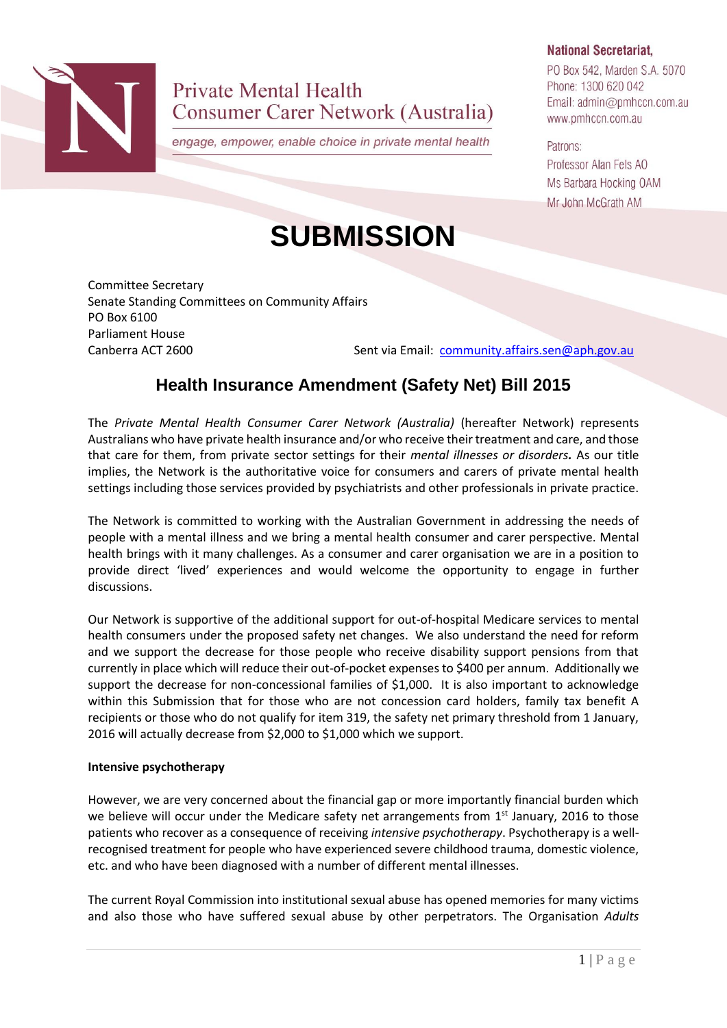

**Private Mental Health** Consumer Carer Network (Australia)

engage, empower, enable choice in private mental health

#### **National Secretariat.**

PO Box 542, Marden S.A. 5070 Phone: 1300 620 042 Email: admin@pmhccn.com.au www.pmhccn.com.au

Patrons: Professor Alan Fels AO Ms Barbara Hocking OAM Mr John McGrath AM

Committee Secretary Senate Standing Committees on Community Affairs PO Box 6100 Parliament House

Canberra ACT 2600 Sent via Email: [community.affairs.sen@aph.gov.au](mailto:community.affairs.sen@aph.gov.au)

# **Health Insurance Amendment (Safety Net) Bill 2015**

**SUBMISSION**

The *Private Mental Health Consumer Carer Network (Australia)* (hereafter Network) represents Australians who have private health insurance and/or who receive their treatment and care, and those that care for them, from private sector settings for their *mental illnesses or disorders.* As our title implies, the Network is the authoritative voice for consumers and carers of private mental health settings including those services provided by psychiatrists and other professionals in private practice.

The Network is committed to working with the Australian Government in addressing the needs of people with a mental illness and we bring a mental health consumer and carer perspective. Mental health brings with it many challenges. As a consumer and carer organisation we are in a position to provide direct 'lived' experiences and would welcome the opportunity to engage in further discussions.

Our Network is supportive of the additional support for out-of-hospital Medicare services to mental health consumers under the proposed safety net changes. We also understand the need for reform and we support the decrease for those people who receive disability support pensions from that currently in place which will reduce their out-of-pocket expenses to \$400 per annum. Additionally we support the decrease for non-concessional families of \$1,000. It is also important to acknowledge within this Submission that for those who are not concession card holders, family tax benefit A recipients or those who do not qualify for item 319, the safety net primary threshold from 1 January, 2016 will actually decrease from \$2,000 to \$1,000 which we support.

# **Intensive psychotherapy**

However, we are very concerned about the financial gap or more importantly financial burden which we believe will occur under the Medicare safety net arrangements from  $1<sup>st</sup>$  January, 2016 to those patients who recover as a consequence of receiving *intensive psychotherapy*. Psychotherapy is a wellrecognised treatment for people who have experienced severe childhood trauma, domestic violence, etc. and who have been diagnosed with a number of different mental illnesses.

The current Royal Commission into institutional sexual abuse has opened memories for many victims and also those who have suffered sexual abuse by other perpetrators. The Organisation *Adults*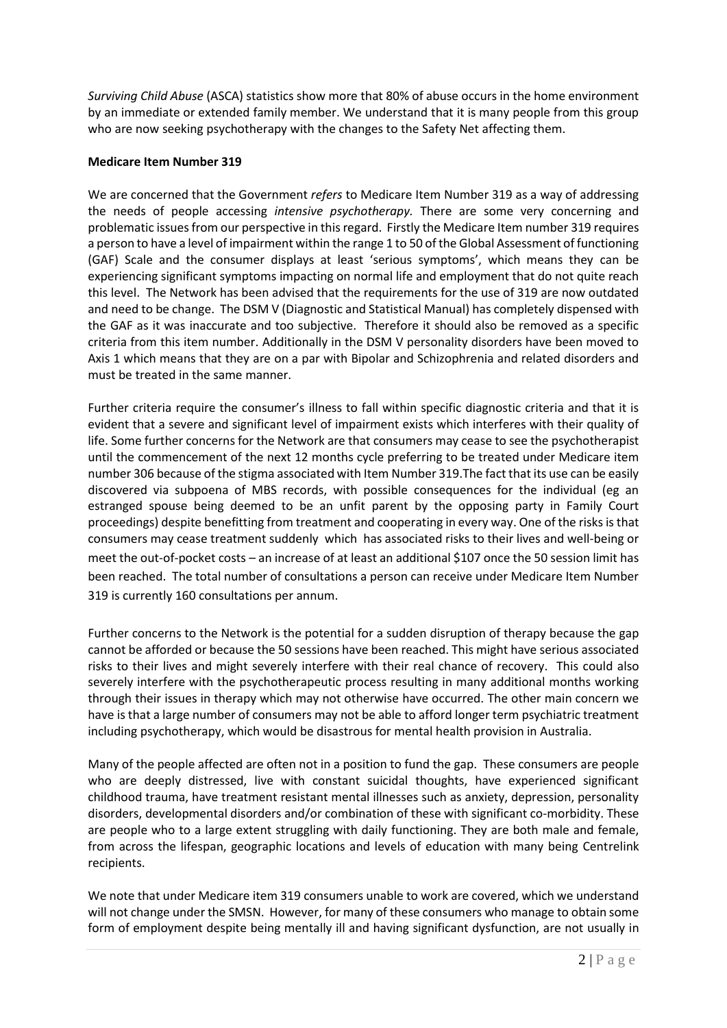*Surviving Child Abuse* (ASCA) statistics show more that 80% of abuse occurs in the home environment by an immediate or extended family member. We understand that it is many people from this group who are now seeking psychotherapy with the changes to the Safety Net affecting them.

### **Medicare Item Number 319**

We are concerned that the Government *refers* to Medicare Item Number 319 as a way of addressing the needs of people accessing *intensive psychotherapy.* There are some very concerning and problematic issues from our perspective in this regard. Firstly the Medicare Item number 319 requires a person to have a level of impairment within the range 1 to 50 of the Global Assessment of functioning (GAF) Scale and the consumer displays at least 'serious symptoms', which means they can be experiencing significant symptoms impacting on normal life and employment that do not quite reach this level. The Network has been advised that the requirements for the use of 319 are now outdated and need to be change. The DSM V (Diagnostic and Statistical Manual) has completely dispensed with the GAF as it was inaccurate and too subjective. Therefore it should also be removed as a specific criteria from this item number. Additionally in the DSM V personality disorders have been moved to Axis 1 which means that they are on a par with Bipolar and Schizophrenia and related disorders and must be treated in the same manner.

Further criteria require the consumer's illness to fall within specific diagnostic criteria and that it is evident that a severe and significant level of impairment exists which interferes with their quality of life. Some further concerns for the Network are that consumers may cease to see the psychotherapist until the commencement of the next 12 months cycle preferring to be treated under Medicare item number 306 because of the stigma associated with Item Number 319.The fact that its use can be easily discovered via subpoena of MBS records, with possible consequences for the individual (eg an estranged spouse being deemed to be an unfit parent by the opposing party in Family Court proceedings) despite benefitting from treatment and cooperating in every way. One of the risks is that consumers may cease treatment suddenly which has associated risks to their lives and well-being or meet the out-of-pocket costs – an increase of at least an additional \$107 once the 50 session limit has been reached. The total number of consultations a person can receive under Medicare Item Number 319 is currently 160 consultations per annum.

Further concerns to the Network is the potential for a sudden disruption of therapy because the gap cannot be afforded or because the 50 sessions have been reached. This might have serious associated risks to their lives and might severely interfere with their real chance of recovery. This could also severely interfere with the psychotherapeutic process resulting in many additional months working through their issues in therapy which may not otherwise have occurred. The other main concern we have is that a large number of consumers may not be able to afford longer term psychiatric treatment including psychotherapy, which would be disastrous for mental health provision in Australia.

Many of the people affected are often not in a position to fund the gap. These consumers are people who are deeply distressed, live with constant suicidal thoughts, have experienced significant childhood trauma, have treatment resistant mental illnesses such as anxiety, depression, personality disorders, developmental disorders and/or combination of these with significant co-morbidity. These are people who to a large extent struggling with daily functioning. They are both male and female, from across the lifespan, geographic locations and levels of education with many being Centrelink recipients.

We note that under Medicare item 319 consumers unable to work are covered, which we understand will not change under the SMSN. However, for many of these consumers who manage to obtain some form of employment despite being mentally ill and having significant dysfunction, are not usually in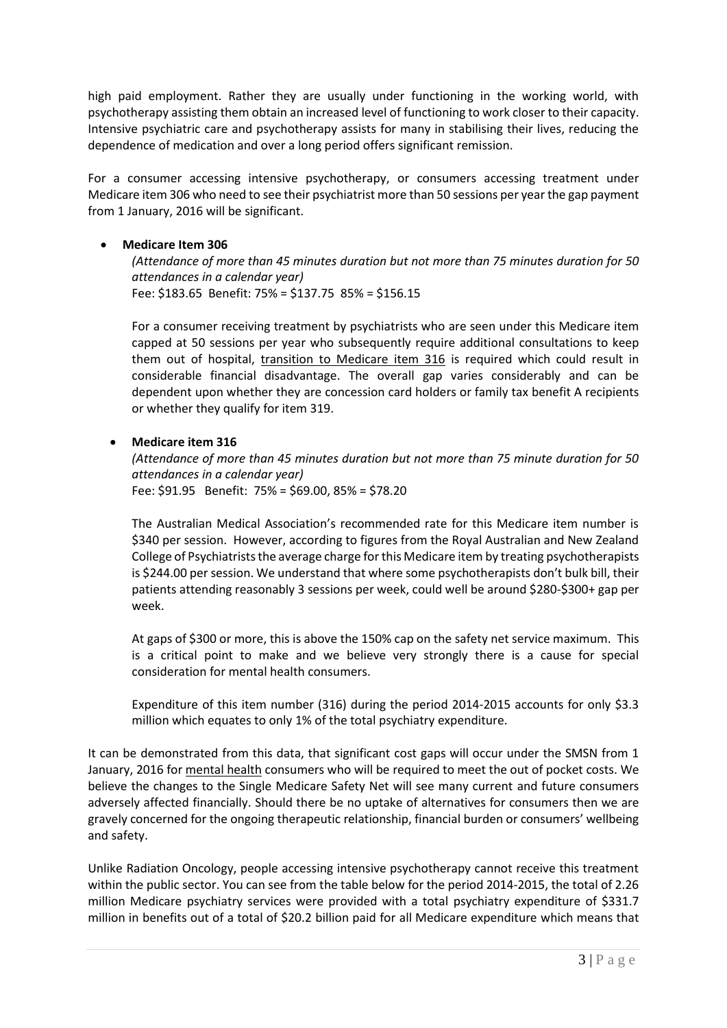high paid employment. Rather they are usually under functioning in the working world, with psychotherapy assisting them obtain an increased level of functioning to work closer to their capacity. Intensive psychiatric care and psychotherapy assists for many in stabilising their lives, reducing the dependence of medication and over a long period offers significant remission.

For a consumer accessing intensive psychotherapy, or consumers accessing treatment under Medicare item 306 who need to see their psychiatrist more than 50 sessions per year the gap payment from 1 January, 2016 will be significant.

### **Medicare Item 306**

*(Attendance of more than 45 minutes duration but not more than 75 minutes duration for 50 attendances in a calendar year)* Fee: \$183.65 Benefit: 75% = \$137.75 85% = \$156.15

For a consumer receiving treatment by psychiatrists who are seen under this Medicare item capped at 50 sessions per year who subsequently require additional consultations to keep them out of hospital, transition to Medicare item 316 is required which could result in considerable financial disadvantage. The overall gap varies considerably and can be dependent upon whether they are concession card holders or family tax benefit A recipients or whether they qualify for item 319.

# **Medicare item 316**

*(Attendance of more than 45 minutes duration but not more than 75 minute duration for 50 attendances in a calendar year)* Fee: \$91.95 Benefit: 75% = \$69.00, 85% = \$78.20

The Australian Medical Association's recommended rate for this Medicare item number is \$340 per session. However, according to figures from the Royal Australian and New Zealand College of Psychiatrists the average charge for this Medicare item by treating psychotherapists is \$244.00 per session. We understand that where some psychotherapists don't bulk bill, their patients attending reasonably 3 sessions per week, could well be around \$280-\$300+ gap per week.

At gaps of \$300 or more, this is above the 150% cap on the safety net service maximum. This is a critical point to make and we believe very strongly there is a cause for special consideration for mental health consumers.

Expenditure of this item number (316) during the period 2014-2015 accounts for only \$3.3 million which equates to only 1% of the total psychiatry expenditure.

It can be demonstrated from this data, that significant cost gaps will occur under the SMSN from 1 January, 2016 for mental health consumers who will be required to meet the out of pocket costs. We believe the changes to the Single Medicare Safety Net will see many current and future consumers adversely affected financially. Should there be no uptake of alternatives for consumers then we are gravely concerned for the ongoing therapeutic relationship, financial burden or consumers' wellbeing and safety.

Unlike Radiation Oncology, people accessing intensive psychotherapy cannot receive this treatment within the public sector. You can see from the table below for the period 2014-2015, the total of 2.26 million Medicare psychiatry services were provided with a total psychiatry expenditure of \$331.7 million in benefits out of a total of \$20.2 billion paid for all Medicare expenditure which means that